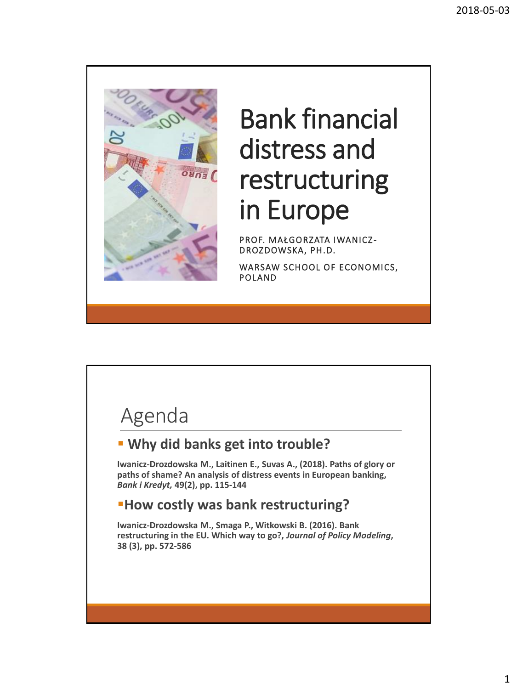

## Bank financial distress and restructuring in Europe

PROF. MAŁGORZATA IWANICZ-DROZDOWSKA, PH.D.

WARSAW SCHOOL OF ECONOMICS, POLAND

#### Agenda

#### ▪ **Why did banks get into trouble?**

**Iwanicz-Drozdowska M., Laitinen E., Suvas A., (2018). Paths of glory or paths of shame? An analysis of distress events in European banking,**  *Bank i Kredyt,* **49(2), pp. 115-144**

#### ▪**How costly was bank restructuring?**

**Iwanicz-Drozdowska M., Smaga P., Witkowski B. (2016). Bank restructuring in the EU. Which way to go?,** *Journal of Policy Modeling***, 38 (3), pp. 572-586**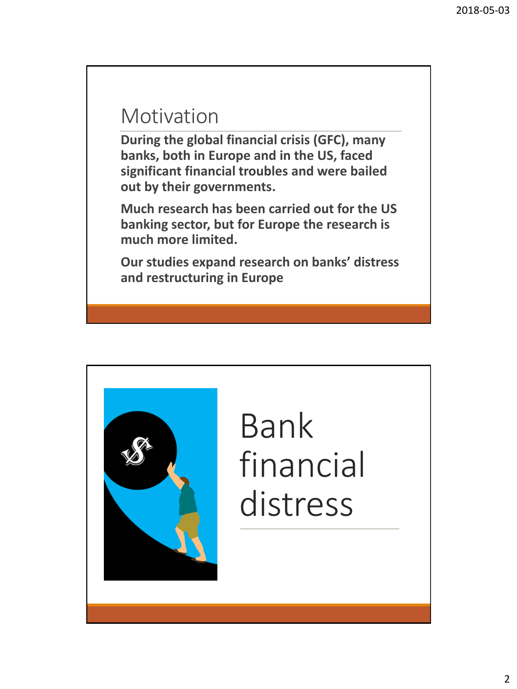#### Motivation

**During the global financial crisis (GFC), many banks, both in Europe and in the US, faced significant financial troubles and were bailed out by their governments.**

**Much research has been carried out for the US banking sector, but for Europe the research is much more limited.**

**Our studies expand research on banks' distress and restructuring in Europe**



# Bank financial distress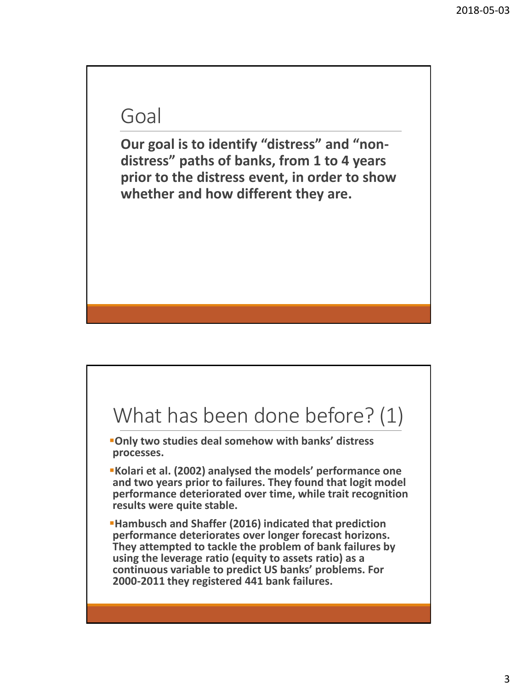#### Goal

**Our goal is to identify "distress" and "nondistress" paths of banks, from 1 to 4 years prior to the distress event, in order to show whether and how different they are.**

#### What has been done before? (1)

- ▪**Only two studies deal somehow with banks' distress processes.**
- ▪**Kolari et al. (2002) analysed the models' performance one and two years prior to failures. They found that logit model performance deteriorated over time, while trait recognition results were quite stable.**
- ▪**Hambusch and Shaffer (2016) indicated that prediction performance deteriorates over longer forecast horizons. They attempted to tackle the problem of bank failures by using the leverage ratio (equity to assets ratio) as a continuous variable to predict US banks' problems. For 2000-2011 they registered 441 bank failures.**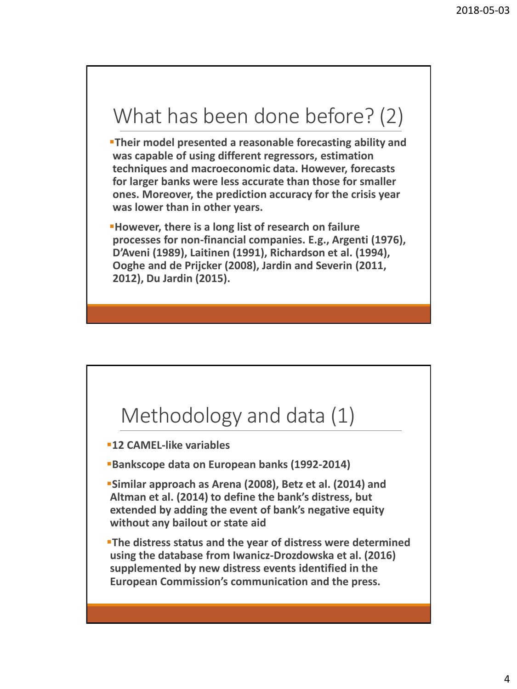#### What has been done before? (2)

**Their model presented a reasonable forecasting ability and was capable of using different regressors, estimation techniques and macroeconomic data. However, forecasts for larger banks were less accurate than those for smaller ones. Moreover, the prediction accuracy for the crisis year was lower than in other years.**

▪**However, there is a long list of research on failure processes for non-financial companies. E.g., Argenti (1976), D'Aveni (1989), Laitinen (1991), Richardson et al. (1994), Ooghe and de Prijcker (2008), Jardin and Severin (2011, 2012), Du Jardin (2015).**

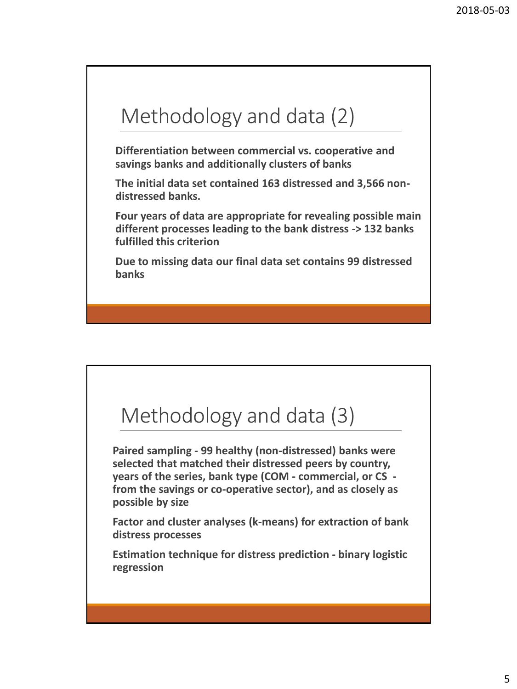#### Methodology and data (2)

**Differentiation between commercial vs. cooperative and savings banks and additionally clusters of banks**

**The initial data set contained 163 distressed and 3,566 nondistressed banks.**

**Four years of data are appropriate for revealing possible main different processes leading to the bank distress -> 132 banks fulfilled this criterion**

**Due to missing data our final data set contains 99 distressed banks**

#### Methodology and data (3)

**Paired sampling - 99 healthy (non-distressed) banks were selected that matched their distressed peers by country, years of the series, bank type (COM - commercial, or CS from the savings or co-operative sector), and as closely as possible by size**

**Factor and cluster analyses (k-means) for extraction of bank distress processes**

**Estimation technique for distress prediction - binary logistic regression**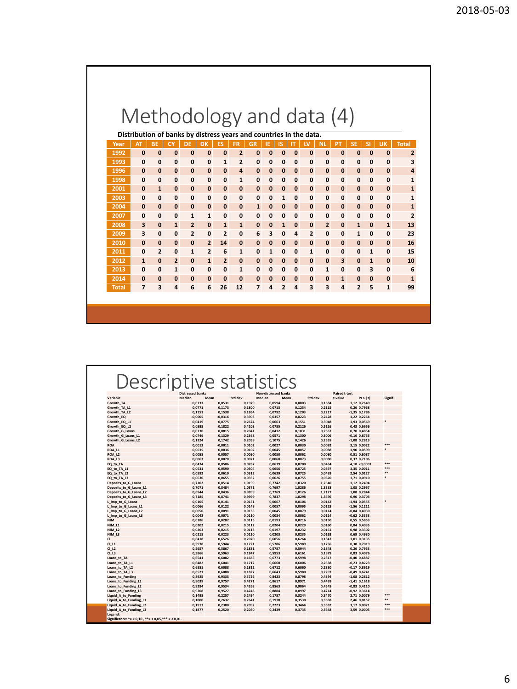|              |                              |                                |                     |                   |                                |                     |                   | Methodology and data (4)                                           |               |                              |                  |                          |                             |                              |                              |                              |                   |                |
|--------------|------------------------------|--------------------------------|---------------------|-------------------|--------------------------------|---------------------|-------------------|--------------------------------------------------------------------|---------------|------------------------------|------------------|--------------------------|-----------------------------|------------------------------|------------------------------|------------------------------|-------------------|----------------|
|              |                              |                                |                     |                   |                                |                     |                   | Distribution of banks by distress years and countries in the data. |               |                              |                  |                          |                             |                              |                              |                              |                   |                |
| Year         | <b>AT</b>                    | <b>BE</b>                      |                     | DE                | DK                             | ES                  | FR                | GR                                                                 | ΙE            | IS                           | ΙT               | <b>LV</b>                | <b>NL</b>                   | PT                           | <b>SE</b>                    | <b>SI</b>                    | <b>UK</b>         | <b>Total</b>   |
| 1992         | $\mathbf{0}$                 | $\mathbf{0}$                   | $\bf{0}$            | $\bf{0}$          | $\mathbf 0$                    | $\bf{0}$            | $\mathbf{2}$      | 0                                                                  | $\bf{0}$      | $\bf{0}$                     | $\bf{0}$         | $\bf{0}$                 | $\bf{0}$                    | $\bf{0}$                     | $\bf{0}$                     | $\mathbf{0}$                 | $\bf{0}$          | $\overline{2}$ |
| 1993         | $\mathbf{0}$                 | $\mathbf{0}$                   | 0                   | 0                 | $\mathbf 0$                    | $\mathbf{1}$        | 2                 | 0                                                                  | 0             | $\mathbf{0}$                 | 0                | 0                        | $\mathbf 0$                 | $\mathbf 0$                  | 0                            | $\mathbf{0}$                 | 0                 | 3              |
| 1996         | $\bf{0}$                     | $\mathbf{0}$                   | $\mathbf 0$         | $\mathbf{0}$      | $\mathbf{0}$                   | $\mathbf{0}$        | 4                 | $\bf{0}$                                                           | $\mathbf{0}$  | $\mathbf{0}$                 | 0                | $\bf{0}$                 | $\mathbf 0$                 | $\mathbf{0}$                 | $\mathbf{0}$                 | $\mathbf{0}$                 | $\mathbf{0}$      | 4              |
| 1998         | $\mathbf{0}$                 | $\mathbf{0}$                   | $\mathbf{0}$        | $\mathbf{0}$      | $\mathbf{0}$                   | $\mathbf{0}$        | $\mathbf{1}$      | $\mathbf{0}$                                                       | 0             | $\mathbf{0}$                 | $\mathbf{0}$     | 0                        | $\mathbf{0}$                | $\mathbf{0}$                 | $\mathbf{0}$                 | $\mathbf{0}$                 | 0                 | $\mathbf{1}$   |
| 2001         | $\bf{0}$                     | $\mathbf{1}$                   | $\bf{0}$            | 0                 | $\mathbf{0}$                   | $\mathbf{0}$        | $\bf{0}$          | $\bf{0}$                                                           | $\bf{0}$      | $\mathbf{0}$                 | 0                | $\bf{0}$                 | $\mathbf{0}$                | $\mathbf{0}$                 | $\bf{0}$                     | $\mathbf{0}$                 | $\bf{0}$          | $\mathbf{1}$   |
| 2003         | $\mathbf{0}$                 | $\mathbf{0}$                   | $\mathbf{0}$        | $\mathbf{0}$      | $\mathbf 0$                    | 0                   | 0                 | 0                                                                  | $\mathbf{0}$  | $\mathbf{1}$                 | $\mathbf{0}$     | $\mathbf{0}$             | $\mathbf 0$                 | 0                            | $\mathbf{0}$                 | $\mathbf{0}$                 | 0                 | 1              |
| 2004         | $\mathbf{0}$                 | $\mathbf{0}$                   | $\mathbf{0}$        | 0                 | $\mathbf{0}$                   | $\mathbf{0}$        | $\mathbf{0}$      | $\mathbf{1}$                                                       | $\mathbf{0}$  | $\mathbf{0}$                 | $\mathbf 0$      | $\bf{0}$                 | $\mathbf{0}$                | $\mathbf{0}$                 | $\mathbf 0$                  | $\mathbf{0}$                 | $\mathbf{0}$      | 1              |
| 2007         | $\mathbf{0}$                 | $\Omega$                       | $\mathbf{0}$        | $\mathbf{1}$      | $\mathbf{1}$                   | $\mathbf{0}$        | 0                 | 0                                                                  | 0             | $\mathbf{0}$                 | 0                | 0                        | $\mathbf{0}$                | $\mathbf{0}$                 | $\mathbf{0}$                 | $\mathbf{0}$                 | 0                 | $\overline{2}$ |
| 2008         | 3                            | $\mathbf{0}$                   | $\mathbf{1}$        | $\mathbf{z}$      | $\mathbf{0}$                   | $\mathbf{1}$        | $\mathbf{1}$      | $\bf{0}$                                                           | $\bf{0}$      | $\mathbf{1}$                 | 0                | $\bf{0}$                 | $\overline{2}$              | $\mathbf{0}$                 | $\mathbf{1}$                 | $\mathbf{0}$                 | $\mathbf{1}$      | 13             |
| 2009         | 3                            | $\mathbf{0}$                   | $\mathbf{0}$        | 2                 | 0                              | $\overline{2}$      | 0                 | 6                                                                  | 3             | 0                            | 4                | $\overline{2}$           | $\mathbf 0$                 | 0                            | $\mathbf{1}$                 | 0                            | 0                 | 23             |
| 2010         | $\mathbf{0}$                 | $\mathbf{0}$                   | $\mathbf 0$         | $\mathbf{0}$      | $\overline{2}$                 | 14                  | $\bf{0}$          | $\mathbf{0}$                                                       | $\mathbf{0}$  | $\mathbf{0}$                 | 0                | $\bf{0}$                 | $\mathbf 0$                 | $\mathbf{0}$                 | $\mathbf{0}$                 | $\mathbf{0}$                 | $\bf{0}$          | 16             |
| 2011<br>2012 | $\mathbf{0}$<br>$\mathbf{1}$ | $\overline{2}$<br>$\mathbf{0}$ | 0<br>$\overline{2}$ | $\mathbf{1}$      | $\overline{2}$<br>$\mathbf{1}$ | 6<br>$\overline{2}$ | 1<br>$\mathbf{0}$ | $\mathbf{0}$<br>$\mathbf{0}$                                       | $\mathbf{1}$  | 0                            | 0                | $\mathbf{1}$<br>$\bf{0}$ | $\mathbf 0$<br>$\mathbf{0}$ | 0<br>$\overline{\mathbf{3}}$ | 0                            | $\mathbf{1}$<br>$\mathbf{1}$ | 0<br>$\mathbf{0}$ | 15<br>10       |
| 2013         | 0                            | <sup>0</sup>                   | $\mathbf{1}$        | $\mathbf{0}$<br>0 | $\mathbf 0$                    | $\mathbf{0}$        | $\mathbf{1}$      | 0                                                                  | $\bf{0}$<br>0 | $\mathbf{0}$<br>$\mathbf{0}$ | $\mathbf 0$<br>0 | 0                        | $\mathbf{1}$                | $\mathbf 0$                  | $\mathbf{0}$<br>$\mathbf{0}$ | 3                            | 0                 | 6              |
| 2014         | 0                            | $\mathbf{0}$                   | $\mathbf{0}$        | $\mathbf{0}$      | $\mathbf{0}$                   | $\bf{0}$            | $\bf{0}$          | $\bf{0}$                                                           | $\bf{0}$      | $\mathbf{0}$                 | $\bf{0}$         | $\bf{0}$                 | $\mathbf{0}$                | $\mathbf{1}$                 | $\mathbf{0}$                 | $\mathbf{0}$                 | $\bf{0}$          | $\mathbf{1}$   |
| <b>Total</b> | $\overline{7}$               | 3                              | 4                   | 6                 | 6                              | 26                  | 12                | 7                                                                  | 4             | $\overline{2}$               | 4                | 3                        | 3                           | 4                            | $\overline{2}$               | 5                            | $\mathbf{1}$      | 99             |

| Descriptive statistics                                        |                         |           |          |                             |        |          |                      |                  |         |
|---------------------------------------------------------------|-------------------------|-----------|----------|-----------------------------|--------|----------|----------------------|------------------|---------|
|                                                               | <b>Distressed banks</b> |           |          | <b>Non-distressed banks</b> |        |          | <b>Paired t-test</b> |                  |         |
| Variable                                                      | Mean<br>Median          |           | Std dev. | Median                      | Mean   | Std dev. | t-value              | Pr >  t          | Signif. |
| Growth TA                                                     | 0,0137                  | 0,0531    | 0,1979   | 0,0594                      | 0,0803 | 0,1684   |                      | 1,12 0,2649      |         |
| Growth TA L1                                                  | 0,0771                  | 0,1173    | 0,1800   | 0,0713                      | 0,1254 | 0,2115   |                      | 0,26 0,7968      |         |
| Growth TA L2                                                  | 0,1151                  | 0,1538    | 0,1864   | 0,0792                      | 0,1203 | 0,2217   |                      | $-1,35$ 0,1786   |         |
| Growth EQ                                                     | $-0,0005$               | $-0,0316$ | 0,3903   | 0,0357                      | 0,0223 | 0,2428   |                      | 1,22 0,2264      |         |
| Growth EQ L1                                                  | 0,0419                  | 0,0775    | 0,2674   | 0,0663                      | 0,1551 | 0,3048   |                      | 1,93 0,0569      |         |
| Growth EQ L2                                                  | 0,0895                  | 0,1822    | 0,4203   | 0,0785                      | 0,2126 | 0,5126   |                      | 0,43 0,6656      |         |
| Growth G Loans                                                | 0,0130                  | 0,0815    | 0,2041   | 0,0412                      | 0,1031 | 0,2367   |                      | 0,70 0,4854      |         |
| Growth G Loans L1                                             | 0,0746                  | 0,1329    | 0,2368   | 0,0571                      | 0,1300 | 0,3006   |                      | $-0,16$ $0,8755$ |         |
| Growth G Loans L2                                             | 0,1324                  | 0,1742    | 0,2059   | 0,1075                      | 0,1426 | 0,2555   |                      | $-1,08$ 0,2813   |         |
| <b>ROA</b>                                                    | 0,0013                  | $-0,0011$ | 0,0102   | 0,0027                      | 0,0030 | 0,0092   |                      | 3,15 0,0022      | ***     |
| ROA L1                                                        | 0,0035                  | 0,0036    | 0,0102   | 0,0045                      | 0,0057 | 0,0088   |                      | 1,90 0,0599      | *       |
| ROA L2                                                        | 0,0058                  | 0,0057    | 0,0090   | 0,0050                      | 0,0062 | 0,0080   |                      | 0,51 0,6087      |         |
| ROA L3                                                        | 0,0063                  | 0,0070    | 0,0071   | 0,0060                      | 0,0073 | 0,0080   |                      | 0,37 0,7106      |         |
| EQ to TA                                                      | 0,0474                  | 0,0506    | 0,0287   | 0,0639                      | 0,0700 | 0,0434   |                      | 4,18 < 0,0001    | ***     |
| EQ to TA L1                                                   | 0,0531                  | 0,0590    | 0,0304   | 0,0656                      | 0,0725 | 0,0397   |                      | 3,35 0,0011      | ***     |
| EQ to TA L2                                                   | 0,0592                  | 0.0619    | 0,0312   | 0,0639                      | 0.0725 | 0,0439   |                      | 2,54 0,0127      | **      |
| EQ to TA L3                                                   | 0,0630                  | 0,0655    | 0,0352   | 0,0626                      | 0,0755 | 0,0620   |                      | 1,71 0,0910      | *       |
| Deposits_to_G_Loans                                           | 0.7102                  | 0,8514    | 1,0199   | 0.7742                      | 1,0320 | 1,2540   |                      | 1,12 0,2494      |         |
| Deposits to G Loans L1                                        | 0,7071                  | 0,8484    | 1,0371   | 0,7697                      | 1,0286 | 1,3338   |                      | 1,05 0,2967      |         |
| Deposits to G Loans L2                                        | 0,6944                  | 0,8436    | 0,9899   | 0,7769                      | 1,0126 | 1,2127   |                      | 1,08 0,2844      |         |
| Deposits to G Loans L3                                        | 0,7185                  | 0,8741    | 0,9999   | 0,7837                      | 1,0298 | 1,3496   |                      | 0,90 0,3703      |         |
| L Imp to G Loans                                              | 0,0105                  | 0,0141    | 0,0151   | 0,0067                      | 0,0106 | 0,0142   |                      | $-1,94$ 0,0555   |         |
| L Imp to G Loans L1                                           | 0,0066                  | 0,0122    | 0,0148   | 0,0057                      | 0,0095 | 0,0125   |                      | $-1,56$ 0,1211   |         |
| L Imp to G Loans L2                                           | 0.0050                  | 0.0091    | 0,0135   | 0.0045                      | 0.0079 | 0,0114   |                      | $-0,84$ $0,4030$ |         |
| L Imp to G Loans L3                                           | 0,0042                  | 0,0071    | 0,0110   | 0,0034                      | 0,0062 | 0,0114   |                      | $-0,62$ $0,5353$ |         |
| <b>NIM</b>                                                    | 0.0186                  | 0.0207    | 0,0115   | 0.0193                      | 0.0216 | 0,0150   |                      | 0,55 0,5853      |         |
| NIM L1                                                        | 0,0202                  | 0,0215    | 0,0112   | 0,0204                      | 0,0229 | 0,0160   |                      | 0,84 0,4035      |         |
| NIM <sub>L2</sub>                                             | 0,0203                  | 0,0215    | 0,0113   | 0,0197                      | 0,0232 | 0,0161   |                      | 0,98 0,3302      |         |
| NIM L3                                                        | 0,0215                  | 0,0223    | 0,0120   | 0,0203                      | 0,0235 | 0,0163   |                      | 0,69 0,4930      |         |
| $\mathbf{C}$                                                  | 0,6418                  | 0,6526    | 0,2070   | 0,6056                      | 0,6264 | 0,1847   |                      | 1,01 0,3135      |         |
| CI L1                                                         | 0,5978                  | 0,5944    | 0,1721   | 0,5786                      | 0,5989 | 0,1756   |                      | 0,38 0,7019      |         |
| $CI$ $L2$                                                     | 0,5657                  | 0,5867    | 0,1831   | 0,5787                      | 0.5944 | 0,1848   |                      | 0,26 0,7953      |         |
| $CI$ $L3$                                                     | 0.5866                  | 0,5963    | 0,1847   | 0,5953                      | 0,6161 | 0,1979   |                      | 0,83 0,4076      |         |
| Loans to TA                                                   | 0,6541                  | 0,6082    | 0,1685   | 0,6773                      | 0,5998 | 0,2317   |                      | $-0,40$ $0,6887$ |         |
| Loans to TA L1                                                | 0,6482                  | 0,6041    | 0,1712   | 0,6668                      | 0,6006 | 0,2338   |                      | $-0,23,0,8223$   |         |
| Loans to TA L2                                                | 0,6551                  | 0,6088    | 0,1812   | 0,6712                      | 0,6060 | 0,2330   |                      | $-0,17$ $0,8619$ |         |
| Loans to TA L3                                                | 0,6521                  | 0,6088    | 0,1827   | 0,6643                      | 0,5980 | 0,2297   |                      | $-0,49$ $0,6741$ |         |
| Loans to Funding                                              | 0,8925                  | 0,9335    | 0,3726   | 0,8423                      | 0,8798 | 0,4394   |                      | $-1,08$ 0,2812   |         |
| Loans to Funding L1                                           | 0,9039                  | 0,9757    | 0,4271   | 0,8617                      | 0,8971 | 0,4439   |                      | $-1,41$ 0,1618   |         |
| Loans_to_Funding_L2                                           | 0,9284                  | 0,9534    | 0,4268   | 0,8563                      | 0,9064 | 0,4545   |                      | $-0,83$ $0,4110$ |         |
| Loans to Funding L3                                           | 0,9208                  | 0,9527    | 0,4243   | 0,8884                      | 0,8997 | 0,4714   |                      | $-0,92$ $0,3614$ |         |
| Liquid A to Funding                                           | 0,1498                  | 0,2257    | 0,2494   | 0,1757                      | 0,3244 | 0,3470   |                      | 2,71 0,0079      | ***     |
| Liquid A to Funding L1                                        | 0,1800                  | 0,2632    | 0,2641   | 0,1918                      | 0,3530 | 0,3658   |                      | 2,46 0,0157      | **      |
| Liquid A to Funding L2                                        | 0,1913                  | 0,2380    | 0,2092   | 0,2223                      | 0,3464 | 0,3582   |                      | 3,17 0,0021      | ***     |
| Liquid A to Funding L3                                        | 0,1877                  | 0,2520    | 0,2050   | 0,2439                      | 0,3735 | 0,3648   |                      | 3,59 0,0005      | ***     |
| Legend:<br>Significance: *= < 0,10, **= < 0,05, *** = < 0,01. |                         |           |          |                             |        |          |                      |                  |         |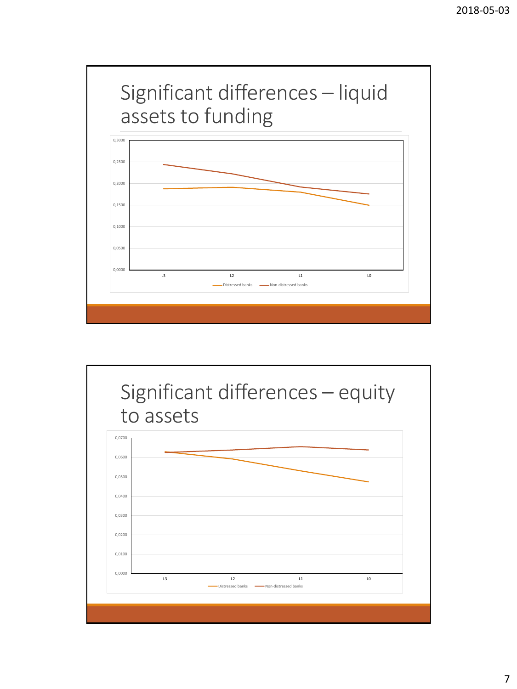

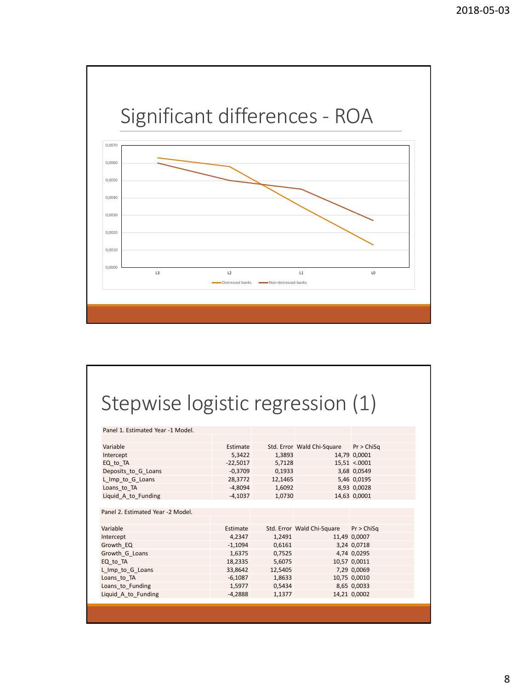

#### Stepwise logistic regression (1)

| Panel 1. Estimated Year -1 Model. |            |         |                                       |              |
|-----------------------------------|------------|---------|---------------------------------------|--------------|
|                                   |            |         |                                       |              |
| Variable                          | Estimate   |         | Std. Error Wald Chi-Square Pr > ChiSq |              |
| Intercept                         | 5,3422     | 1,3893  |                                       | 14,79 0,0001 |
| EQ to TA                          | $-22,5017$ | 5,7128  |                                       | 15,51 < 0001 |
| Deposits to G Loans               | $-0,3709$  | 0,1933  |                                       | 3,68 0,0549  |
| L_Imp_to_G_Loans                  | 28,3772    | 12,1465 |                                       | 5,46 0,0195  |
| Loans to TA                       | $-4,8094$  | 1,6092  |                                       | 8,93 0,0028  |
| Liquid A to Funding               | $-4,1037$  | 1,0730  |                                       | 14,63 0,0001 |
|                                   |            |         |                                       |              |
| Panel 2. Estimated Year -2 Model. |            |         |                                       |              |
|                                   |            |         |                                       |              |
| Variable                          | Estimate   |         | Std. Error Wald Chi-Square            | Pr > ChiSq   |
| Intercept                         | 4,2347     | 1,2491  |                                       | 11,49 0,0007 |
| Growth EQ                         | $-1,1094$  | 0,6161  |                                       | 3,24 0,0718  |
| Growth G Loans                    | 1,6375     | 0,7525  |                                       | 4,74 0,0295  |
| EQ to TA                          | 18,2335    | 5,6075  |                                       | 10,57 0,0011 |
| L Imp to G Loans                  | 33,8642    | 12,5405 |                                       | 7,29 0,0069  |
| Loans to TA                       | $-6,1087$  | 1,8633  |                                       | 10,75 0,0010 |
| Loans to Funding                  | 1,5977     | 0,5434  |                                       | 8,65 0,0033  |
| Liquid A to Funding               | $-4,2888$  | 1,1377  |                                       | 14,21 0,0002 |
|                                   |            |         |                                       |              |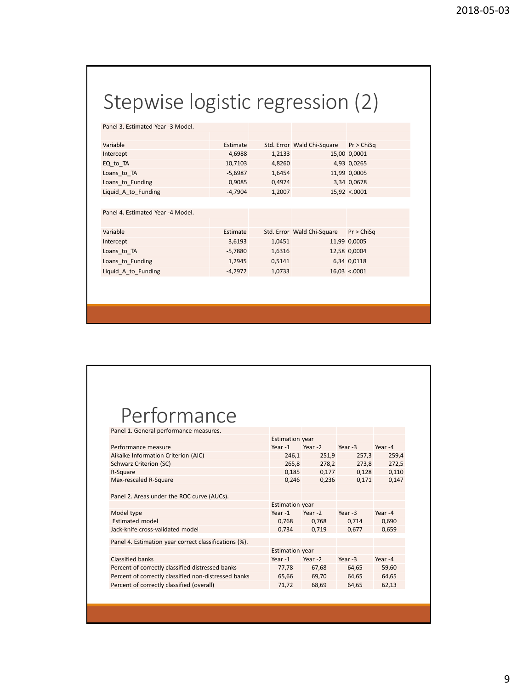## Stepwise logistic regression (2)

Panel 3. Estimated Year -3 Model.

| Variable            | Estimate  |        | Std. Error Wald Chi-Square | Pr > ChiSa   |
|---------------------|-----------|--------|----------------------------|--------------|
| Intercept           | 4.6988    | 1,2133 |                            | 15,00 0,0001 |
| EQ to TA            | 10.7103   | 4.8260 |                            | 4,93 0,0265  |
| Loans to TA         | $-5.6987$ | 1.6454 |                            | 11,99 0,0005 |
| Loans to Funding    | 0.9085    | 0.4974 |                            | 3,34 0,0678  |
| Liquid_A_to_Funding | $-4,7904$ | 1,2007 |                            | 15,92 < 0001 |

Panel 4. Estimated Year -4 Model.

| Variable            | Estimate  |        | Std. Error Wald Chi-Square | Pr > ChiSq   |
|---------------------|-----------|--------|----------------------------|--------------|
| Intercept           | 3,6193    | 1.0451 |                            | 11,99 0,0005 |
| Loans to TA         | -5.7880   | 1,6316 |                            | 12,58 0,0004 |
| Loans to Funding    | 1.2945    | 0.5141 |                            | 6,34 0,0118  |
| Liquid_A_to_Funding | $-4.2972$ | 1,0733 |                            | 16,03 < 0001 |

#### Performance

| Panel 1. General performance measures.                |                        |         |           |         |
|-------------------------------------------------------|------------------------|---------|-----------|---------|
|                                                       | <b>Estimation year</b> |         |           |         |
| Performance measure                                   | Year- $1$              | Year -2 | Year -3   | Year -4 |
| Aikaike Information Criterion (AIC)                   | 246,1                  | 251,9   | 257,3     | 259,4   |
| Schwarz Criterion (SC)                                | 265,8                  | 278,2   | 273,8     | 272,5   |
| R-Square                                              | 0,185                  | 0,177   | 0,128     | 0,110   |
| Max-rescaled R-Square                                 | 0,246                  | 0,236   | 0,171     | 0,147   |
|                                                       |                        |         |           |         |
| Panel 2. Areas under the ROC curve (AUCs).            |                        |         |           |         |
|                                                       | <b>Estimation year</b> |         |           |         |
| Model type                                            | Year $-1$              | Year -2 | Year -3   | Year -4 |
| <b>Estimated model</b>                                | 0,768                  | 0,768   | 0,714     | 0,690   |
| Jack-knife cross-validated model                      | 0,734                  | 0,719   | 0,677     | 0,659   |
| Panel 4. Estimation year correct classifications (%). |                        |         |           |         |
|                                                       | <b>Estimation year</b> |         |           |         |
| Classified banks                                      | Year-1                 | Year-2  | Year $-3$ | Year-4  |
| Percent of correctly classified distressed banks      | 77,78                  | 67,68   | 64,65     | 59,60   |
| Percent of correctly classified non-distressed banks  | 65,66                  | 69,70   | 64,65     | 64,65   |
| Percent of correctly classified (overall)             | 71,72                  | 68,69   | 64,65     | 62,13   |
|                                                       |                        |         |           |         |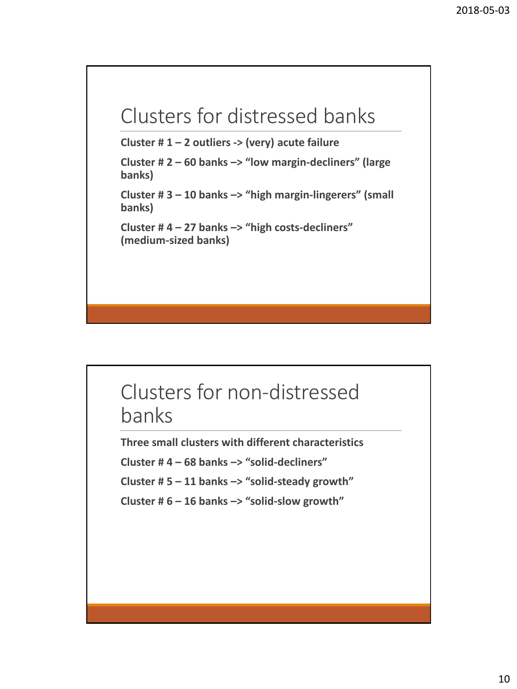#### Clusters for distressed banks

**Cluster # 1 – 2 outliers -> (very) acute failure**

**Cluster # 2 – 60 banks –> "low margin-decliners" (large banks)**

**Cluster # 3 – 10 banks –> "high margin-lingerers" (small banks)**

**Cluster # 4 – 27 banks –> "high costs-decliners" (medium-sized banks)**

#### Clusters for non-distressed banks

**Three small clusters with different characteristics**

**Cluster # 4 – 68 banks –> "solid-decliners"** 

**Cluster # 5 – 11 banks –> "solid-steady growth"** 

**Cluster # 6 – 16 banks –> "solid-slow growth"**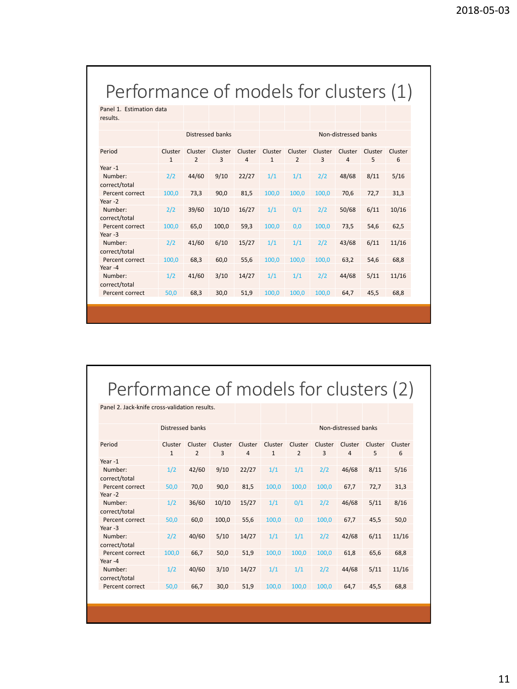#### Performance of models for clusters (1)

Panel 1. Estimation data results.

|                          |                         |                           | Distressed banks |                           |                         |                           |              | Non-distressed banks      |              |              |
|--------------------------|-------------------------|---------------------------|------------------|---------------------------|-------------------------|---------------------------|--------------|---------------------------|--------------|--------------|
|                          |                         |                           |                  |                           |                         |                           |              |                           |              |              |
| Period                   | Cluster<br>$\mathbf{1}$ | Cluster<br>$\overline{2}$ | Cluster<br>3     | Cluster<br>$\overline{4}$ | Cluster<br>$\mathbf{1}$ | Cluster<br>$\overline{2}$ | Cluster<br>3 | Cluster<br>$\overline{4}$ | Cluster<br>5 | Cluster<br>6 |
| Year-1                   |                         |                           |                  |                           |                         |                           |              |                           |              |              |
|                          |                         |                           |                  |                           |                         |                           |              |                           |              |              |
| Number:<br>correct/total | 2/2                     | 44/60                     | 9/10             | 22/27                     | 1/1                     | 1/1                       | 2/2          | 48/68                     | 8/11         | 5/16         |
| Percent correct          | 100,0                   | 73,3                      | 90,0             | 81,5                      | 100,0                   | 100,0                     | 100,0        | 70,6                      | 72,7         | 31,3         |
| Year-2                   |                         |                           |                  |                           |                         |                           |              |                           |              |              |
| Number:                  | 2/2                     | 39/60                     | 10/10            | 16/27                     | 1/1                     | 0/1                       | 2/2          | 50/68                     | 6/11         | 10/16        |
| correct/total            |                         |                           |                  |                           |                         |                           |              |                           |              |              |
| Percent correct          | 100,0                   | 65,0                      | 100,0            | 59,3                      | 100,0                   | 0,0                       | 100,0        | 73,5                      | 54,6         | 62,5         |
| Year $-3$                |                         |                           |                  |                           |                         |                           |              |                           |              |              |
| Number:<br>correct/total | 2/2                     | 41/60                     | 6/10             | 15/27                     | 1/1                     | 1/1                       | 2/2          | 43/68                     | 6/11         | 11/16        |
| Percent correct          | 100,0                   | 68,3                      | 60,0             | 55,6                      | 100,0                   | 100,0                     | 100.0        | 63,2                      | 54,6         | 68,8         |
| Year-4                   |                         |                           |                  |                           |                         |                           |              |                           |              |              |
| Number:<br>correct/total | 1/2                     | 41/60                     | 3/10             | 14/27                     | 1/1                     | 1/1                       | 2/2          | 44/68                     | 5/11         | 11/16        |
| Percent correct          | 50,0                    | 68,3                      | 30,0             | 51,9                      | 100.0                   | 100.0                     | 100.0        | 64,7                      | 45,5         | 68,8         |
|                          |                         |                           |                  |                           |                         |                           |              |                           |              |              |

#### Performance of models for clusters (2)

| Panel 2. Jack-knife cross-validation results. |                         |                           |              |                           |                         |                           |                           |                           |              |              |
|-----------------------------------------------|-------------------------|---------------------------|--------------|---------------------------|-------------------------|---------------------------|---------------------------|---------------------------|--------------|--------------|
|                                               | Distressed banks        |                           |              |                           |                         |                           |                           | Non-distressed banks      |              |              |
| Period                                        | Cluster<br>$\mathbf{1}$ | Cluster<br>$\overline{2}$ | Cluster<br>3 | Cluster<br>$\overline{4}$ | Cluster<br>$\mathbf{1}$ | Cluster<br>$\overline{2}$ | Cluster<br>$\overline{3}$ | Cluster<br>$\overline{4}$ | Cluster<br>5 | Cluster<br>6 |
| Year-1                                        |                         |                           |              |                           |                         |                           |                           |                           |              |              |
| Number:<br>correct/total                      | 1/2                     | 42/60                     | 9/10         | 22/27                     | 1/1                     | 1/1                       | 2/2                       | 46/68                     | 8/11         | 5/16         |
| Percent correct                               | 50,0                    | 70,0                      | 90,0         | 81,5                      | 100,0                   | 100,0                     | 100,0                     | 67,7                      | 72,7         | 31,3         |
| Year $-2$                                     |                         |                           |              |                           |                         |                           |                           |                           |              |              |
| Number:<br>correct/total                      | 1/2                     | 36/60                     | 10/10        | 15/27                     | 1/1                     | 0/1                       | 2/2                       | 46/68                     | 5/11         | 8/16         |
| Percent correct                               | 50,0                    | 60,0                      | 100,0        | 55,6                      | 100,0                   | 0,0                       | 100,0                     | 67,7                      | 45,5         | 50,0         |
| Year-3                                        |                         |                           |              |                           |                         |                           |                           |                           |              |              |
| Number:<br>correct/total                      | 2/2                     | 40/60                     | 5/10         | 14/27                     | 1/1                     | 1/1                       | 2/2                       | 42/68                     | 6/11         | 11/16        |
| Percent correct                               | 100,0                   | 66,7                      | 50,0         | 51,9                      | 100,0                   | 100,0                     | 100,0                     | 61,8                      | 65,6         | 68,8         |
| Year-4                                        |                         |                           |              |                           |                         |                           |                           |                           |              |              |
| Number:<br>correct/total                      | 1/2                     | 40/60                     | 3/10         | 14/27                     | 1/1                     | 1/1                       | 2/2                       | 44/68                     | 5/11         | 11/16        |
| Percent correct                               | 50,0                    | 66,7                      | 30,0         | 51,9                      | 100,0                   | 100,0                     | 100,0                     | 64,7                      | 45,5         | 68,8         |
|                                               |                         |                           |              |                           |                         |                           |                           |                           |              |              |
|                                               |                         |                           |              |                           |                         |                           |                           |                           |              |              |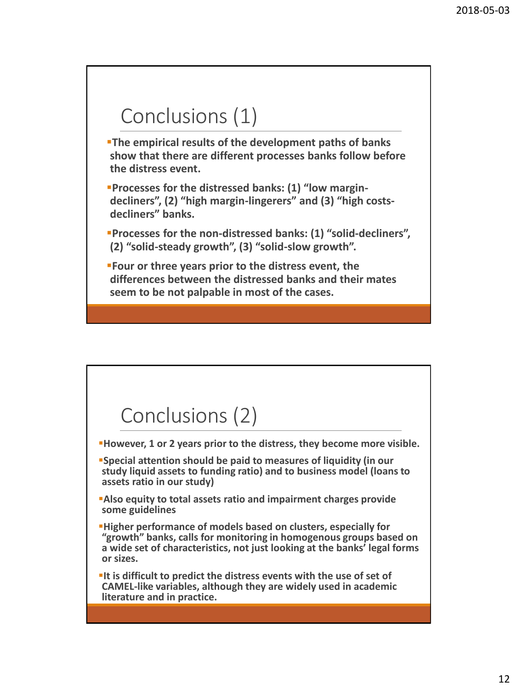#### Conclusions (1)

**The empirical results of the development paths of banks show that there are different processes banks follow before the distress event.**

▪**Processes for the distressed banks: (1) "low margindecliners", (2) "high margin-lingerers" and (3) "high costsdecliners" banks.** 

▪**Processes for the non-distressed banks: (1) "solid-decliners", (2) "solid-steady growth", (3) "solid-slow growth".**

▪**Four or three years prior to the distress event, the differences between the distressed banks and their mates seem to be not palpable in most of the cases.**

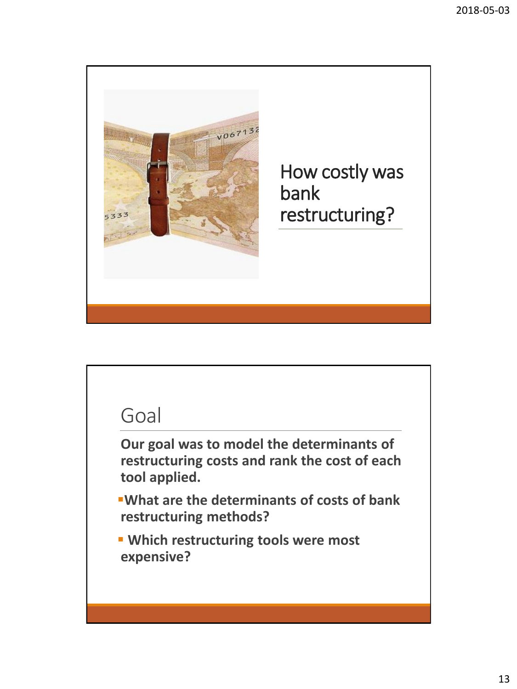

#### Goal

**Our goal was to model the determinants of restructuring costs and rank the cost of each tool applied.** 

▪**What are the determinants of costs of bank restructuring methods?**

▪ **Which restructuring tools were most expensive?**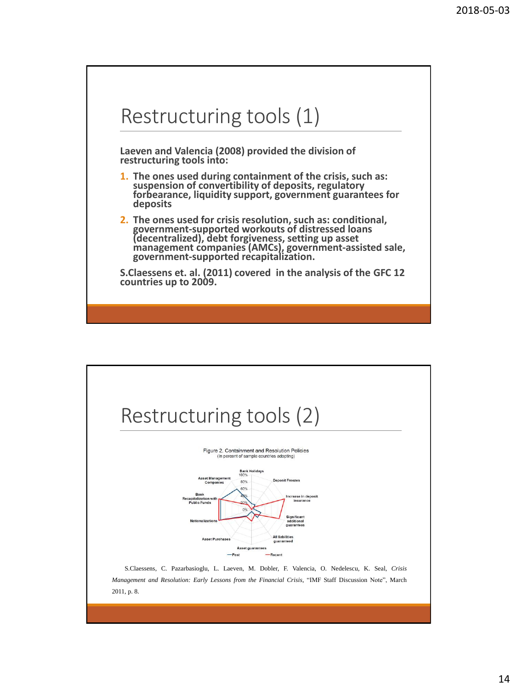



14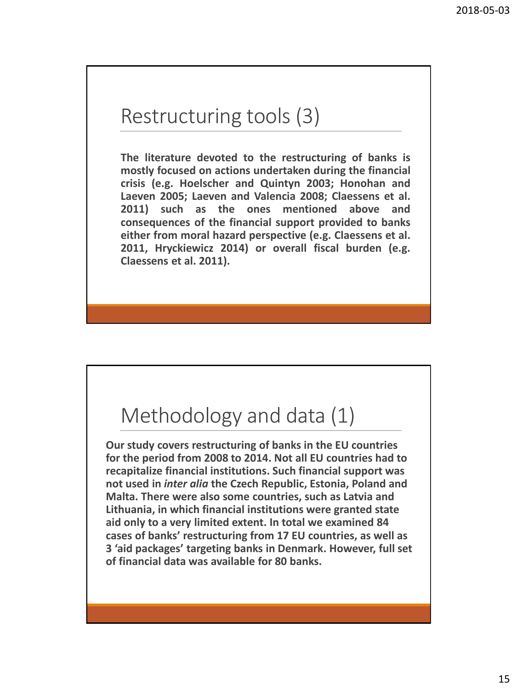#### Restructuring tools (3)

**The literature devoted to the restructuring of banks is mostly focused on actions undertaken during the financial crisis (e.g. Hoelscher and Quintyn 2003; Honohan and Laeven 2005; Laeven and Valencia 2008; Claessens et al. 2011) such as the ones mentioned above and consequences of the financial support provided to banks either from moral hazard perspective (e.g. Claessens et al. 2011, Hryckiewicz 2014) or overall fiscal burden (e.g. Claessens et al. 2011).**

#### Methodology and data (1)

**Our study covers restructuring of banks in the EU countries for the period from 2008 to 2014. Not all EU countries had to recapitalize financial institutions. Such financial support was not used in** *inter alia* **the Czech Republic, Estonia, Poland and Malta. There were also some countries, such as Latvia and Lithuania, in which financial institutions were granted state aid only to a very limited extent. In total we examined 84 cases of banks' restructuring from 17 EU countries, as well as 3 'aid packages' targeting banks in Denmark. However, full set of financial data was available for 80 banks.**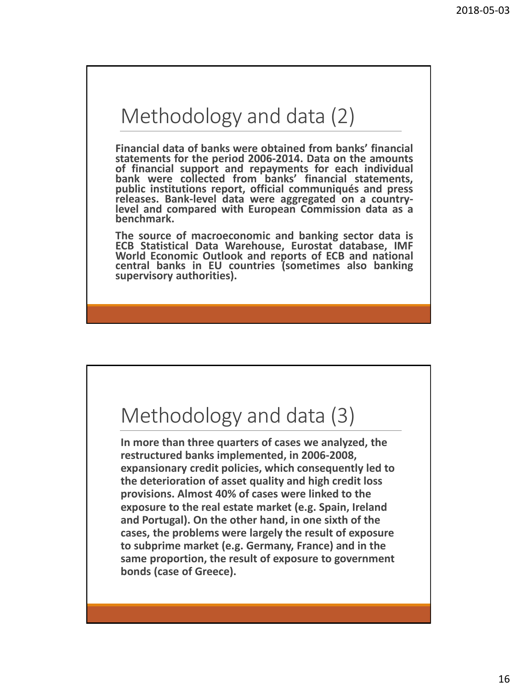#### Methodology and data (2)

**Financial data of banks were obtained from banks' financial statements for the period 2006-2014. Data on the amounts of financial support and repayments for each individual bank were collected from banks' financial statements, public institutions report, official communiqués and press releases. Bank-level data were aggregated on a countrylevel and compared with European Commission data as a benchmark.**

**The source of macroeconomic and banking sector data is ECB Statistical Data Warehouse, Eurostat database, IMF World Economic Outlook and reports of ECB and national central banks in EU countries (sometimes also banking supervisory authorities).**

#### Methodology and data (3)

**In more than three quarters of cases we analyzed, the restructured banks implemented, in 2006-2008, expansionary credit policies, which consequently led to the deterioration of asset quality and high credit loss provisions. Almost 40% of cases were linked to the exposure to the real estate market (e.g. Spain, Ireland and Portugal). On the other hand, in one sixth of the cases, the problems were largely the result of exposure to subprime market (e.g. Germany, France) and in the same proportion, the result of exposure to government bonds (case of Greece).**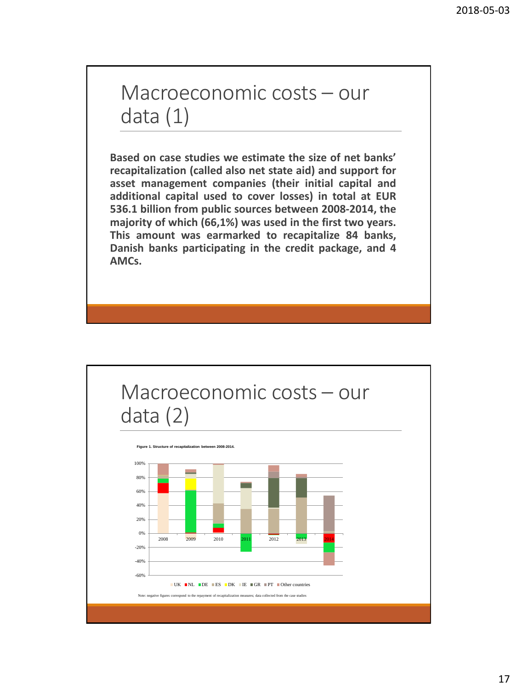#### Macroeconomic costs – our data (1)

**Based on case studies we estimate the size of net banks' recapitalization (called also net state aid) and support for asset management companies (their initial capital and additional capital used to cover losses) in total at EUR 536.1 billion from public sources between 2008-2014, the majority of which (66,1%) was used in the first two years. This amount was earmarked to recapitalize 84 banks, Danish banks participating in the credit package, and 4 AMCs.**

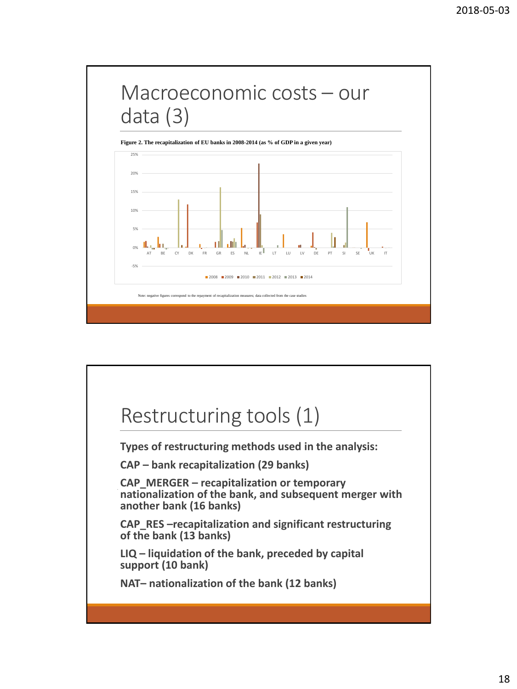

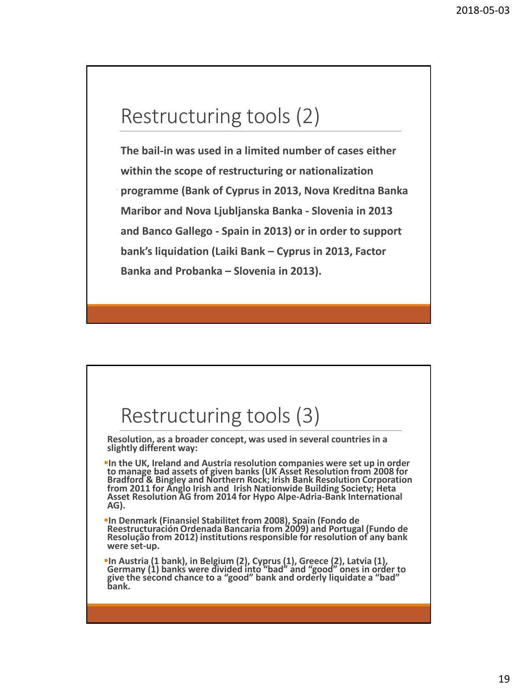#### Restructuring tools (2)

**The bail-in was used in a limited number of cases either within the scope of restructuring or nationalization programme (Bank of Cyprus in 2013, Nova Kreditna Banka Maribor and Nova Ljubljanska Banka - Slovenia in 2013 and Banco Gallego - Spain in 2013) or in order to support bank's liquidation (Laiki Bank – Cyprus in 2013, Factor Banka and Probanka – Slovenia in 2013).** 

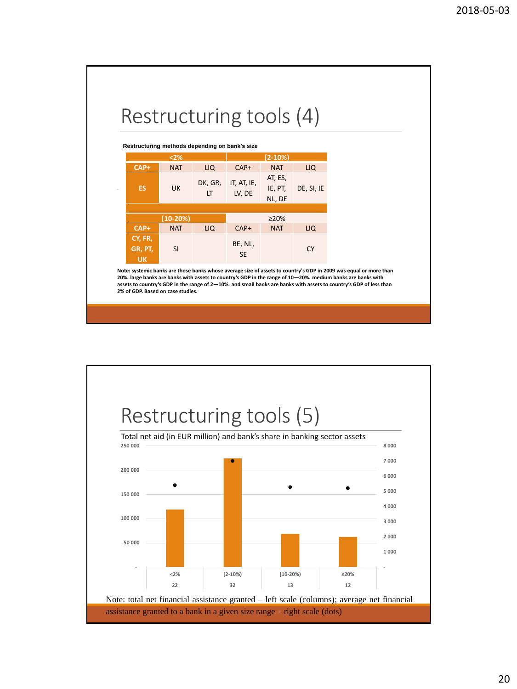#### Restructuring tools (4)

|                                 | Restructuring methods depending on bank's size |               |                       |                              |            |
|---------------------------------|------------------------------------------------|---------------|-----------------------|------------------------------|------------|
|                                 | $2%$                                           |               |                       | $[2-10%]$                    |            |
| CAP+                            | <b>NAT</b>                                     | LIQ.          | $CAP+$                | <b>NAT</b>                   | LIQ        |
| <b>ES</b>                       | <b>UK</b>                                      | DK, GR,<br>LT | IT, AT, IE,<br>LV, DE | AT, ES,<br>IE, PT,<br>NL, DE | DE, SI, IE |
|                                 | $[10-20%]$                                     |               |                       | >20%                         |            |
| $CAP+$                          | <b>NAT</b>                                     | LIQ           | $CAP+$                | <b>NAT</b>                   | LIQ        |
| CY, FR,<br>GR, PT,<br><b>UK</b> | <b>SI</b>                                      |               | BE, NL,<br><b>SE</b>  |                              | CY         |

**Note: systemic banks are those banks whose average size of assets to country's GDP in 2009 was equal or more than 20%. large banks are banks with assets to country's GDP in the range of 10—20%. medium banks are banks with assets to country's GDP in the range of 2—10%. and small banks are banks with assets to country's GDP of less than 2% of GDP. Based on case studies.** 

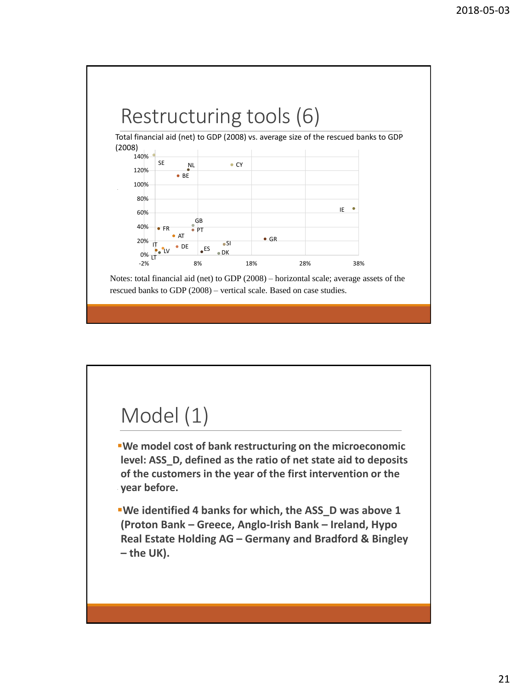

#### Model (1)

▪**We model cost of bank restructuring on the microeconomic level: ASS\_D, defined as the ratio of net state aid to deposits of the customers in the year of the first intervention or the year before.**

▪**We identified 4 banks for which, the ASS\_D was above 1 (Proton Bank – Greece, Anglo-Irish Bank – Ireland, Hypo Real Estate Holding AG – Germany and Bradford & Bingley – the UK).**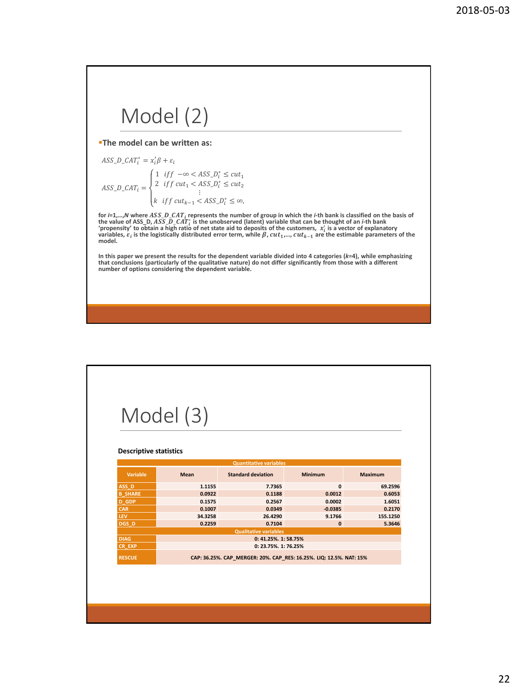## Model (2)

▪**The model can be written as:**

$$
ASS\_D\_CAT_i^* = x_i'B + \varepsilon_i
$$
  
\n
$$
ASS\_D\_CAT_i = \begin{cases} 1 & \text{if } f \quad -\infty < ASS\_D_i^* \le cut_1 \\ 2 & \text{if } f \text{ cut}_1 < ASS\_D_i^* \le cut_2 \\ & \vdots \\ k & \text{if } f \text{ cut}_{k-1} < ASS\_D_i^* \le \infty, \end{cases}
$$

for  $i=1,...,N$  where  $ASS\_D\_CAT_i$  represents the number of group in which the  $i$ -th bank is classified on the basis of the basis of the value of  $\Delta SS\_D\_CAT_i$  is the unobserved (latent) variable that can be thought of an  $i$ -th b **model.** 

In this paper we present the results for the dependent variable divided into 4 categories (k=4), while emphasizing<br>that conclusions (particularly of the qualitative nature) do not differ significantly from those with a dif

## Model (3)

#### **Descriptive statistics**

|                |             | <b>Quantitative variables</b>                                       |                |                |
|----------------|-------------|---------------------------------------------------------------------|----------------|----------------|
| Variable       | <b>Mean</b> | <b>Standard deviation</b>                                           | <b>Minimum</b> | <b>Maximum</b> |
| ASS D          | 1.1155      | 7.7365                                                              | $\mathbf{0}$   | 69.2596        |
| <b>B SHARE</b> | 0.0922      | 0.1188                                                              | 0.0012         | 0.6053         |
| <b>D</b> GDP   | 0.1575      | 0.2567                                                              | 0.0002         | 1.6051         |
| <b>CAR</b>     | 0.1007      | 0.0349                                                              | $-0.0385$      | 0.2170         |
| <b>LEV</b>     | 34.3258     | 26.4290                                                             | 9.1766         | 155.1250       |
| DGS D          | 0.2259      | 0.7104                                                              | $\mathbf{0}$   | 5.3646         |
|                |             | <b>Qualitative variables</b>                                        |                |                |
| DIAG.          |             | 0: 41.25%, 1: 58.75%                                                |                |                |
| <b>CR EXP</b>  |             | 0: 23.75%, 1: 76.25%                                                |                |                |
| <b>RESCUE</b>  |             | CAP: 36.25%. CAP MERGER: 20%. CAP RES: 16.25%. LIQ: 12.5%. NAT: 15% |                |                |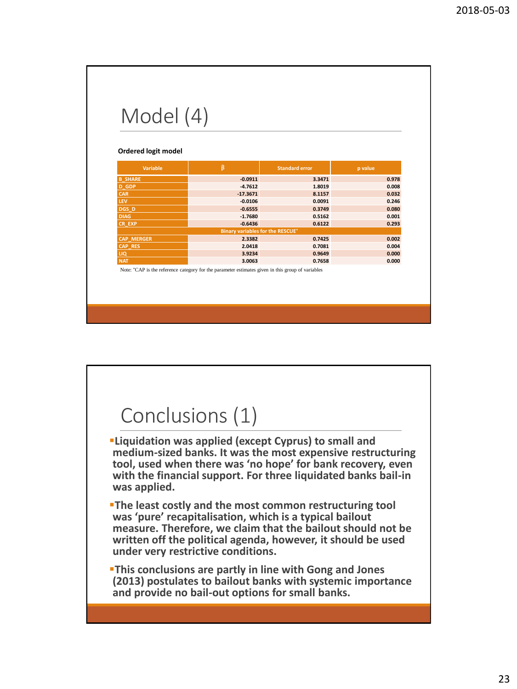| Model (4)                  |                                         |                       |                |
|----------------------------|-----------------------------------------|-----------------------|----------------|
|                            |                                         |                       |                |
|                            |                                         |                       |                |
|                            |                                         |                       |                |
|                            |                                         |                       |                |
| Ordered logit model        |                                         |                       |                |
|                            |                                         |                       |                |
| <b>Variable</b>            | $\widehat{\mathbf{B}}$                  | <b>Standard error</b> | p value        |
|                            |                                         |                       |                |
| <b>B SHARE</b>             | $-0.0911$<br>$-4.7612$                  | 3.3471<br>1.8019      | 0.978<br>0.008 |
| <b>D</b> GDP<br><b>CAR</b> | $-17.3671$                              | 8.1157                | 0.032          |
| <b>LEV</b>                 | $-0.0106$                               | 0.0091                | 0.246          |
| DGS D                      | $-0.6555$                               | 0.3749                | 0.080          |
| <b>DIAG</b>                | $-1.7680$                               | 0.5162                | 0.001          |
| CR EXP                     | $-0.6436$                               | 0.6122                | 0.293          |
|                            | <b>Binary variables for the RESCUE*</b> |                       |                |
| <b>CAP MERGER</b>          | 2.3382                                  | 0.7425                | 0.002          |
| <b>CAP RES</b>             | 2.0418                                  | 0.7081                | 0.004          |
| LIQ                        | 3.9234                                  | 0.9649                | 0.000          |
|                            | 3.0063                                  | 0.7658                | 0.000          |
| <b>NAT</b>                 |                                         |                       |                |